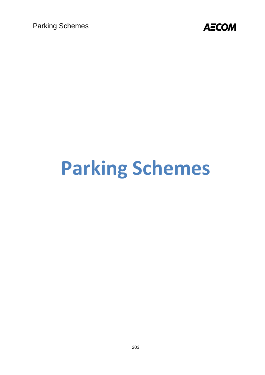

# **Parking Schemes**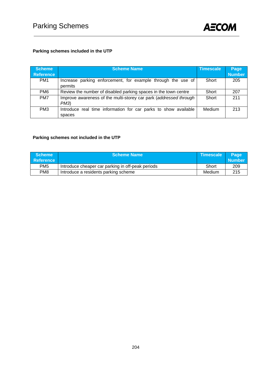

## **Parking schemes included in the UTP**

| <b>Scheme</b><br><b>Reference</b> | <b>Scheme Name</b>                                                        | <b>Timescale</b> | Page<br><b>Number</b> |
|-----------------------------------|---------------------------------------------------------------------------|------------------|-----------------------|
| PM <sub>1</sub>                   | Increase parking enforcement, for example through the use of<br>permits   | Short            | 205                   |
| PM <sub>6</sub>                   | Review the number of disabled parking spaces in the town centre           | Short            | 207                   |
| PM7                               | Improve awareness of the multi-storey car park (addressed through<br>PM3  | Short            | 211                   |
| PM <sub>3</sub>                   | Introduce real time information for car parks to show available<br>spaces | Medium           | 213                   |

# **Parking schemes not included in the UTP**

| <b>Scheme</b>    | <b>Scheme Name</b>                                | Timescale | <b>Page</b>   |
|------------------|---------------------------------------------------|-----------|---------------|
| <b>Reference</b> |                                                   |           | <b>Number</b> |
| PM <sub>5</sub>  | Introduce cheaper car parking in off-peak periods | Short     | 209           |
| PM <sub>8</sub>  | Introduce a residents parking scheme              | Medium    | 215           |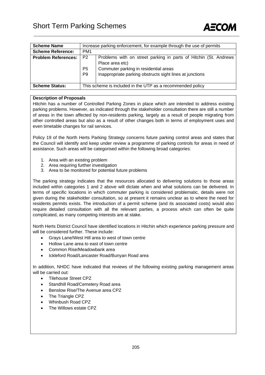

| <b>Scheme Name</b>         | Increase parking enforcement, for example through the use of permits |                                                                                                                                                                                          |  |  |  |  |  |
|----------------------------|----------------------------------------------------------------------|------------------------------------------------------------------------------------------------------------------------------------------------------------------------------------------|--|--|--|--|--|
| <b>Scheme Reference:</b>   | PM <sub>1</sub>                                                      |                                                                                                                                                                                          |  |  |  |  |  |
| <b>Problem References:</b> | P <sub>2</sub><br>P <sub>5</sub><br>P <sub>9</sub>                   | Problems with on street parking in parts of Hitchin (St. Andrews<br>Place area etc)<br>Commuter parking in residential areas<br>Inappropriate parking obstructs sight lines at junctions |  |  |  |  |  |
| <b>Scheme Status:</b>      | This scheme is included in the UTP as a recommended policy           |                                                                                                                                                                                          |  |  |  |  |  |

Hitchin has a number of Controlled Parking Zones in place which are intended to address existing parking problems. However, as indicated through the stakeholder consultation there are still a number of areas in the town affected by non-residents parking, largely as a result of people migrating from other controlled areas but also as a result of other changes both in terms of employment uses and even timetable changes for rail services.

Policy 19 of the North Herts Parking Strategy concerns future parking control areas and states that the Council will identify and keep under review a programme of parking controls for areas in need of assistance. Such areas will be categorised within the following broad categories:

- 1. Area with an existing problem
- 2. Area requiring further investigation
- 3. Area to be monitored for potential future problems

The parking strategy indicates that the resources allocated to delivering solutions to those areas included within categories 1 and 2 above will dictate when and what solutions can be delivered. In terms of specific locations in which commuter parking is considered problematic, details were not given during the stakeholder consultation, so at present it remains unclear as to where the need for residents permits exists. The introduction of a permit scheme (and its associated costs) would also require detailed consultation with all the relevant parties, a process which can often be quite complicated, as many competing interests are at stake.

North Herts District Council have identified locations in Hitchin which experience parking pressure and will be considered further. These include:

- Grays Lane/West Hill area to west of town centre
- Hollow Lane area to east of town centre
- Common Rise/Meadowbank area
- Ickleford Road/Lancaster Road/Bunyan Road area

In addition, NHDC have indicated that reviews of the following existing parking management areas will be carried out:

- Tilehouse Street CPZ
- Standhill Road/Cemetery Road area
- Benslow Rise/The Avenue area CPZ
- The Triangle CPZ
- Whinbush Road CPZ
- The Willows estate CPZ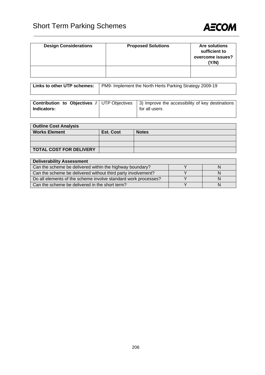

| <b>Design Considerations</b> | <b>Proposed Solutions</b> | <b>Are solutions</b><br>sufficient to<br>overcome issues?<br>(Y/N) |
|------------------------------|---------------------------|--------------------------------------------------------------------|
|                              |                           |                                                                    |

| Links to other UTP schemes:   PM9- Implement the North Herts Parking Strategy 2009-19 |
|---------------------------------------------------------------------------------------|
|                                                                                       |

|             | <b>Contribution to Objectives / UTP Objectives   3) Improve the accessibility of key destinations</b> |
|-------------|-------------------------------------------------------------------------------------------------------|
| Indicators: | for all users                                                                                         |
|             |                                                                                                       |

| <b>Outline Cost Analysis</b>   |           |              |  |  |  |  |
|--------------------------------|-----------|--------------|--|--|--|--|
| <b>Works Element</b>           | Est. Cost | <b>Notes</b> |  |  |  |  |
|                                |           |              |  |  |  |  |
|                                |           |              |  |  |  |  |
| <b>TOTAL COST FOR DELIVERY</b> |           |              |  |  |  |  |

| <b>Deliverability Assessment</b>                               |  |  |  |  |  |  |
|----------------------------------------------------------------|--|--|--|--|--|--|
| Can the scheme be delivered within the highway boundary?       |  |  |  |  |  |  |
| Can the scheme be delivered without third party involvement?   |  |  |  |  |  |  |
| Do all elements of the scheme involve standard work processes? |  |  |  |  |  |  |
| Can the scheme be delivered in the short term?                 |  |  |  |  |  |  |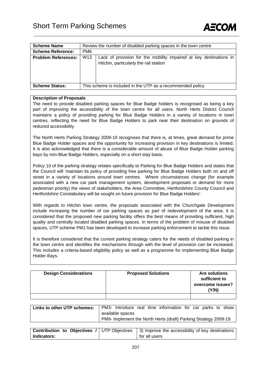

| <b>Scheme Name</b>         |                                                            | Review the number of disabled parking spaces in the town centre                                              |  |  |  |  |  |  |
|----------------------------|------------------------------------------------------------|--------------------------------------------------------------------------------------------------------------|--|--|--|--|--|--|
| <b>Scheme Reference:</b>   | PM <sub>6</sub>                                            |                                                                                                              |  |  |  |  |  |  |
| <b>Problem References:</b> | W <sub>13</sub>                                            | Lack of provision for the mobility impaired at key destinations in<br>Hitchin, particularly the rail station |  |  |  |  |  |  |
| <b>Scheme Status:</b>      | This scheme is included in the UTP as a recommended policy |                                                                                                              |  |  |  |  |  |  |

The need to provide disabled parking spaces for Blue Badge holders is recognised as being a key part of improving the accessibility of the town centre for all users. North Herts District Council maintains a policy of providing parking for Blue Badge Holders in a variety of locations in town centres, reflecting the need for Blue Badge Holders to park near their destination on grounds of reduced accessibility.

The North Herts Parking Strategy 2009-19 recognises that there is, at times, great demand for prime Blue Badge Holder spaces and the opportunity for increasing provision in key destinations is limited. It is also acknowledged that there is a considerable amount of abuse of Blue Badge Holder parking bays by non-Blue Badge Holders, especially on a short stay basis.

Policy 10 of the parking strategy relates specifically to Parking for Blue Badge Holders and states that the Council will 'maintain its policy of providing free parking for Blue Badge Holders both on and off street in a variety of locations around town centres. Where circumstances change (for example associated with a new car park management system, development proposals or demand for more pedestrian priority) the views of stakeholders, the Area Committee, Hertfordshire County Council and Hertfordshire Constabulary will be sought on future provision for Blue Badge Holders'.

With regards to Hitchin town centre, the proposals associated with the Churchgate Development include increasing the number of car parking spaces as part of redevelopment of the area. It is considered that the proposed new parking facility offers the best means of providing sufficient, high quality and centrally located disabled parking spaces. In terms of the problem of misuse of disabled spaces, UTP scheme PM1 has been developed to increase parking enforcement to tackle this issue.

It is therefore considered that the current parking strategy caters for the needs of disabled parking in the town centre and identifies the mechanisms through with the level of provision can be increased. This includes a criteria-based eligibility policy as well as a programme for implementing Blue Badge Holder Bays.

| <b>Design Considerations</b> | <b>Proposed Solutions</b> | <b>Are solutions</b><br>sufficient to<br>overcome issues?<br>(Y/N) |
|------------------------------|---------------------------|--------------------------------------------------------------------|
|                              |                           |                                                                    |

| Links to other UTP schemes: |                  |  |  |  | PM3- Introduce real time information for car parks to show      |  |  |  |
|-----------------------------|------------------|--|--|--|-----------------------------------------------------------------|--|--|--|
|                             | available spaces |  |  |  |                                                                 |  |  |  |
|                             |                  |  |  |  | PM9- Implement the North Herts (draft) Parking Strategy 2009-19 |  |  |  |

|                    | <b>Contribution to Objectives / UTP Objectives   3) Improve the accessibility of key destinations</b> |
|--------------------|-------------------------------------------------------------------------------------------------------|
| <b>Indicators:</b> | for all users                                                                                         |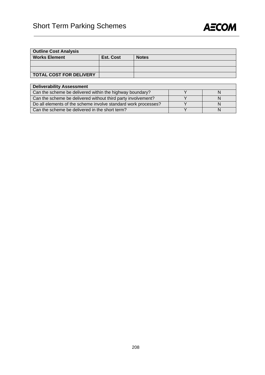

| <b>Outline Cost Analysis</b>   |           |              |  |  |  |  |  |
|--------------------------------|-----------|--------------|--|--|--|--|--|
| <b>Works Element</b>           | Est. Cost | <b>Notes</b> |  |  |  |  |  |
|                                |           |              |  |  |  |  |  |
|                                |           |              |  |  |  |  |  |
| <b>TOTAL COST FOR DELIVERY</b> |           |              |  |  |  |  |  |

| <b>Deliverability Assessment</b>                               |  |
|----------------------------------------------------------------|--|
| Can the scheme be delivered within the highway boundary?       |  |
| Can the scheme be delivered without third party involvement?   |  |
| Do all elements of the scheme involve standard work processes? |  |
| Can the scheme be delivered in the short term?                 |  |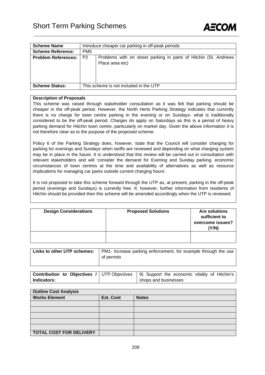

| <b>Scheme Name</b>         |                 | Introduce cheaper car parking in off-peak periods                                   |  |  |  |  |  |  |
|----------------------------|-----------------|-------------------------------------------------------------------------------------|--|--|--|--|--|--|
| <b>Scheme Reference:</b>   | PM <sub>5</sub> |                                                                                     |  |  |  |  |  |  |
| <b>Problem References:</b> | P <sub>2</sub>  | Problems with on street parking in parts of Hitchin (St. Andrews<br>Place area etc) |  |  |  |  |  |  |
| <b>Scheme Status:</b>      |                 | This scheme is not included in the UTP                                              |  |  |  |  |  |  |
|                            |                 |                                                                                     |  |  |  |  |  |  |

This scheme was raised through stakeholder consultation as it was felt that parking should be cheaper in the off-peak period. However, the North Herts Parking Strategy indicates that currently there is no charge for town centre parking in the evening or on Sundays- what is traditionally considered to be the off-peak period. Charges do apply on Saturdays as this is a period of heavy parking demand for Hitchin town centre, particularly on market day. Given the above information it is not therefore clear as to the purpose of the proposed scheme.

Policy 6 of the Parking Strategy does, however, state that the Council will consider charging for parking for evenings and Sundays when tariffs are reviewed and depending on what charging system may be in place in the future. It is understood that this review will be carried out in consultation with relevant stakeholders and will 'consider the demand for Evening and Sunday parking, economic circumstances of town centres at the time and availability of alternatives as well as resource implications for managing car parks outside current charging hours'.

It is not proposed to take this scheme forward through the UTP as, at present, parking in the off-peak period (evenings and Sundays) is currently free. If, however, further information from residents of Hitchin should be provided then this scheme will be amended accordingly when the UTP is reviewed.

| <b>Design Considerations</b> | <b>Proposed Solutions</b> | <b>Are solutions</b><br>sufficient to<br>overcome issues?<br>(Y/N) |
|------------------------------|---------------------------|--------------------------------------------------------------------|
|                              |                           |                                                                    |

| Links to other UTP schemes: | <b>PM1-</b> Increase parking enforcement, for example through the use |
|-----------------------------|-----------------------------------------------------------------------|
|                             | of permits                                                            |
|                             |                                                                       |

| <b>Contribution to Objectives / UTP Objectives   9) Support the economic vitality of Hitchin's  </b> |  |                      |  |  |  |
|------------------------------------------------------------------------------------------------------|--|----------------------|--|--|--|
| Indicators:                                                                                          |  | shops and businesses |  |  |  |

| <b>Outline Cost Analysis</b>   |                  |              |  |  |  |  |  |
|--------------------------------|------------------|--------------|--|--|--|--|--|
| <b>Works Element</b>           | <b>Est. Cost</b> | <b>Notes</b> |  |  |  |  |  |
|                                |                  |              |  |  |  |  |  |
|                                |                  |              |  |  |  |  |  |
|                                |                  |              |  |  |  |  |  |
|                                |                  |              |  |  |  |  |  |
|                                |                  |              |  |  |  |  |  |
| <b>TOTAL COST FOR DELIVERY</b> |                  |              |  |  |  |  |  |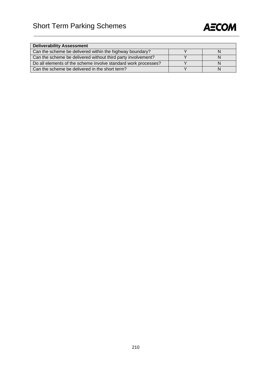

| <b>Deliverability Assessment</b>                               |   |
|----------------------------------------------------------------|---|
| Can the scheme be delivered within the highway boundary?       | N |
| Can the scheme be delivered without third party involvement?   | N |
| Do all elements of the scheme involve standard work processes? | N |
| Can the scheme be delivered in the short term?                 |   |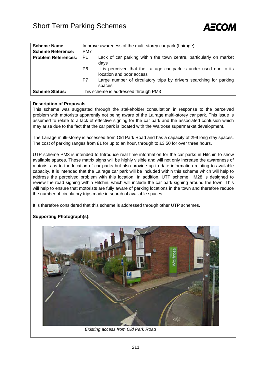

| <b>Scheme Name</b>         |     | Improve awareness of the multi-storey car park (Lairage)                                       |  |  |  |
|----------------------------|-----|------------------------------------------------------------------------------------------------|--|--|--|
| <b>Scheme Reference:</b>   | PM7 |                                                                                                |  |  |  |
| <b>Problem References:</b> | P1  | Lack of car parking within the town centre, particularly on market<br>days                     |  |  |  |
|                            | P6  | It is perceived that the Lairage car park is under used due to its<br>location and poor access |  |  |  |
|                            | P7  | Large number of circulatory trips by drivers searching for parking<br>spaces                   |  |  |  |
| <b>Scheme Status:</b>      |     | This scheme is addressed through PM3                                                           |  |  |  |

This scheme was suggested through the stakeholder consultation in response to the perceived problem with motorists apparently not being aware of the Lairage multi-storey car park. This issue is assumed to relate to a lack of effective signing for the car park and the associated confusion which may arise due to the fact that the car park is located with the Waitrose supermarket development.

The Lairage multi-storey is accessed from Old Park Road and has a capacity of 299 long stay spaces. The cost of parking ranges from £1 for up to an hour, through to £3.50 for over three hours.

UTP scheme PM3 is intended to Introduce real time information for the car parks in Hitchin to show available spaces. These matrix signs will be highly visible and will not only increase the awareness of motorists as to the location of car parks but also provide up to date information relating to available capacity. It is intended that the Lairage car park will be included within this scheme which will help to address the perceived problem with this location. In addition, UTP scheme HM28 is designed to review the road signing within Hitchin, which will include the car park signing around the town. This will help to ensure that motorists are fully aware of parking locations in the town and therefore reduce the number of circulatory trips made in search of available spaces.

It is therefore considered that this scheme is addressed through other UTP schemes.

### **Supporting Photograph(s):**



*Existing access from Old Park Road*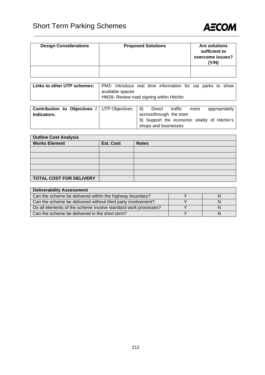

| <b>Design Considerations</b> | <b>Proposed Solutions</b> | <b>Are solutions</b><br>sufficient to<br>overcome issues?<br>(Y/N) |
|------------------------------|---------------------------|--------------------------------------------------------------------|
|                              |                           |                                                                    |

| Links to other UTP schemes: |                                          |  |  |  | PM3- Introduce real time information for car parks to show |  |  |  |  |  |
|-----------------------------|------------------------------------------|--|--|--|------------------------------------------------------------|--|--|--|--|--|
|                             | available spaces                         |  |  |  |                                                            |  |  |  |  |  |
|                             | HM28- Review road signing within Hitchin |  |  |  |                                                            |  |  |  |  |  |

| across/through the town<br>Indicators:<br>9) Support the economic vitality of Hitchin's | <b>Contribution to Objectives / UTP Objectives</b> | $\vert 6 \rangle$ | Direct | traffic | more | appropriately |
|-----------------------------------------------------------------------------------------|----------------------------------------------------|-------------------|--------|---------|------|---------------|
|                                                                                         |                                                    |                   |        |         |      |               |
|                                                                                         |                                                    |                   |        |         |      |               |
| shops and businesses                                                                    |                                                    |                   |        |         |      |               |

| <b>Outline Cost Analysis</b>   |                  |              |  |
|--------------------------------|------------------|--------------|--|
| <b>Works Element</b>           | <b>Est. Cost</b> | <b>Notes</b> |  |
|                                |                  |              |  |
|                                |                  |              |  |
|                                |                  |              |  |
|                                |                  |              |  |
|                                |                  |              |  |
| <b>TOTAL COST FOR DELIVERY</b> |                  |              |  |

| <b>Deliverability Assessment</b>                               |  |  |  |  |
|----------------------------------------------------------------|--|--|--|--|
| Can the scheme be delivered within the highway boundary?       |  |  |  |  |
| Can the scheme be delivered without third party involvement?   |  |  |  |  |
| Do all elements of the scheme involve standard work processes? |  |  |  |  |
| Can the scheme be delivered in the short term?                 |  |  |  |  |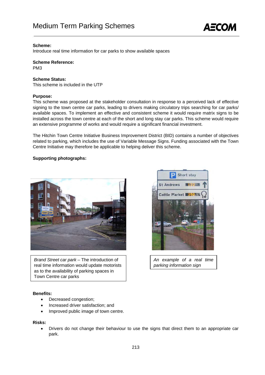

### **Scheme:**

Introduce real time information for car parks to show available spaces

**Scheme Reference:**  PM3

### **Scheme Status:**

This scheme is included in the UTP

### **Purpose:**

This scheme was proposed at the stakeholder consultation in response to a perceived lack of effective signing to the town centre car parks, leading to drivers making circulatory trips searching for car parks/ available spaces. To implement an effective and consistent scheme it would require matrix signs to be installed across the town centre at each of the short and long stay car parks. This scheme would require an extensive programme of works and would require a significant financial investment.

The Hitchin Town Centre Initiative Business Improvement District (BID) contains a number of objectives related to parking, which includes the use of Variable Message Signs. Funding associated with the Town Centre Initiative may therefore be applicable to helping deliver this scheme.

### **Supporting photographs:**



 real time information would update motorists *Brand Street car park –* The introduction of as to the availability of parking spaces in Town Centre car parks

# $\sim$

Short stay

**St Andrews** 

*An example of a real time parking information sign* 

### **Benefits:**

- Decreased congestion;
- Increased driver satisfaction; and
- Improved public image of town centre.

### **Risks:**

• Drivers do not change their behaviour to use the signs that direct them to an appropriate car park.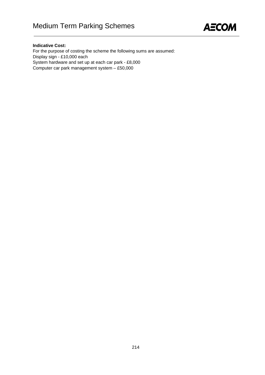

### **Indicative Cost:**

For the purpose of costing the scheme the following sums are assumed: Display sign - £10,000 each System hardware and set up at each car park - £8,000 Computer car park management system – £50,000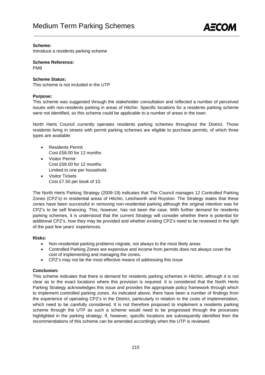

### **Scheme:**

Introduce a residents parking scheme

**Scheme Reference:** 

PM8

### **Scheme Status:**

This scheme is not included in the UTP

### **Purpose:**

This scheme was suggested through the stakeholder consultation and reflected a number of perceived issues with non-residents parking in areas of Hitchin. Specific locations for a residents parking scheme were not identified, so this scheme could be applicable to a number of areas in the town.

North Herts Council currently operates residents parking schemes throughout the District. Those residents living in streets with permit parking schemes are eligible to purchase permits, of which three types are available:

- Residents Permit Cost £58.00 for 12 months
- Visitor Permit Cost £58.00 for 12 months Limited to one per household.
- **Visitor Tickets** Cost £7.50 per book of 10.

The North Herts Parking Strategy (2009-19) indicates that The Council manages 12 Controlled Parking Zones (CPZ's) in residential areas of Hitchin, Letchworth and Royston. The Strategy states that these zones have been successful in removing non-residential parking although the original intention was for CPZ's to be self financing. This, however, has not been the case. With further demand for residents parking schemes, it is understood that the current Strategy will consider whether there is potential for additional CPZ's, how they may be provided and whether existing CPZ's need to be reviewed in the light of the past few years' experiences.

### **Risks:**

- Non-residential parking problems migrate, not always to the most likely areas
- Controlled Parking Zones are expensive and income from permits does not always cover the cost of implementing and managing the zones.
- CPZ's may not be the most effective means of addressing this issue

### **Conclusion:**

This scheme indicates that there is demand for residents parking schemes in Hitchin, although it is not clear as to the exact locations where this provision is required. It is considered that the North Herts Parking Strategy acknowledges this issue and provides the appropriate policy framework through which to implement controlled parking zones. As indicated above, there have been a number of findings from the experience of operating CPZ's in the District, particularly in relation to the costs of implementation, which need to be carefully considered. It is not therefore proposed to implement a residents parking scheme through the UTP as such a scheme would need to be progressed through the processes highlighted in the parking strategy. If, however, specific locations are subsequently identified then the recommendations of this scheme can be amended accordingly when the UTP is reviewed.